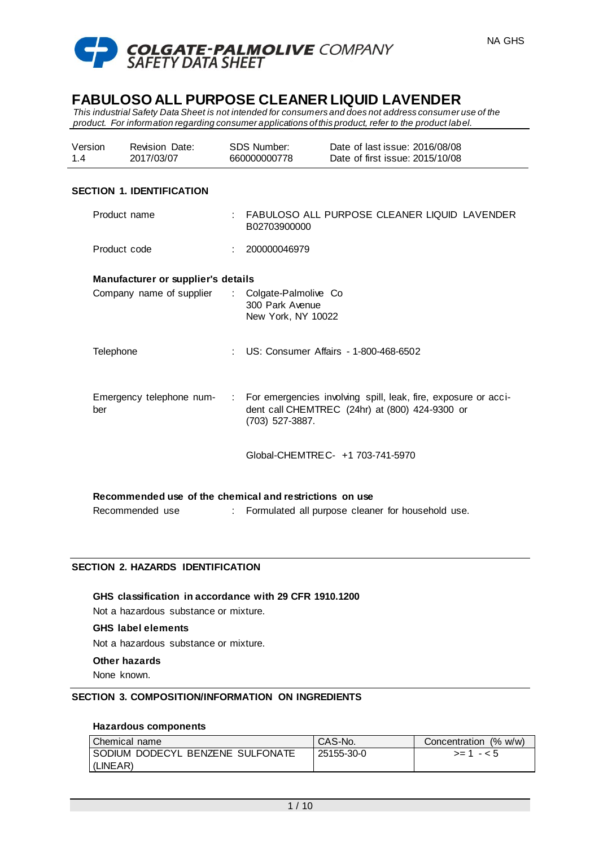

*This industrial Safety Data Sheet is not intended for consumers and does not address consumer use of the product. For information regarding consumer applications of this product, refer to the product label.*

| Version | <b>Revision Date:</b> | SDS Number:  | Date of last issue: 2016/08/08  |
|---------|-----------------------|--------------|---------------------------------|
| 1.4     | 2017/03/07            | 660000000778 | Date of first issue: 2015/10/08 |

## **SECTION 1. IDENTIFICATION**

| Product name                                            |  | : FABULOSO ALL PURPOSE CLEANER LIQUID LAVENDER<br>B02703900000                                                                        |  |  |
|---------------------------------------------------------|--|---------------------------------------------------------------------------------------------------------------------------------------|--|--|
| Product code                                            |  | : 200000046979                                                                                                                        |  |  |
| Manufacturer or supplier's details                      |  |                                                                                                                                       |  |  |
| Company name of supplier                                |  | : Colgate-Palmolive Co<br>300 Park Avenue<br>New York, NY 10022                                                                       |  |  |
| Telephone                                               |  | : US: Consumer Affairs - 1-800-468-6502                                                                                               |  |  |
| Emergency telephone num-<br>ber                         |  | : For emergencies involving spill, leak, fire, exposure or acci-<br>dent call CHEMTREC (24hr) at (800) 424-9300 or<br>(703) 527-3887. |  |  |
|                                                         |  | Global-CHEMTRE C- +1 703-741-5970                                                                                                     |  |  |
| Recommended use of the chemical and restrictions on use |  |                                                                                                                                       |  |  |

Recommended use : Formulated all purpose cleaner for household use.

# **SECTION 2. HAZARDS IDENTIFICATION**

**GHS classification in accordance with 29 CFR 1910.1200**

Not a hazardous substance or mixture.

## **GHS label elements**

Not a hazardous substance or mixture.

#### **Other hazards**

None known.

#### **SECTION 3. COMPOSITION/INFORMATION ON INGREDIENTS**

## **Hazardous components**

| Chemical name                      | <sup>1</sup> CAS-No. | Concentration (% w/w) |
|------------------------------------|----------------------|-----------------------|
| I SODIUM DODECYL BENZENE SULFONATE | 25155-30-0           | $> = 1 - 5$           |
| (LINEAR)                           |                      |                       |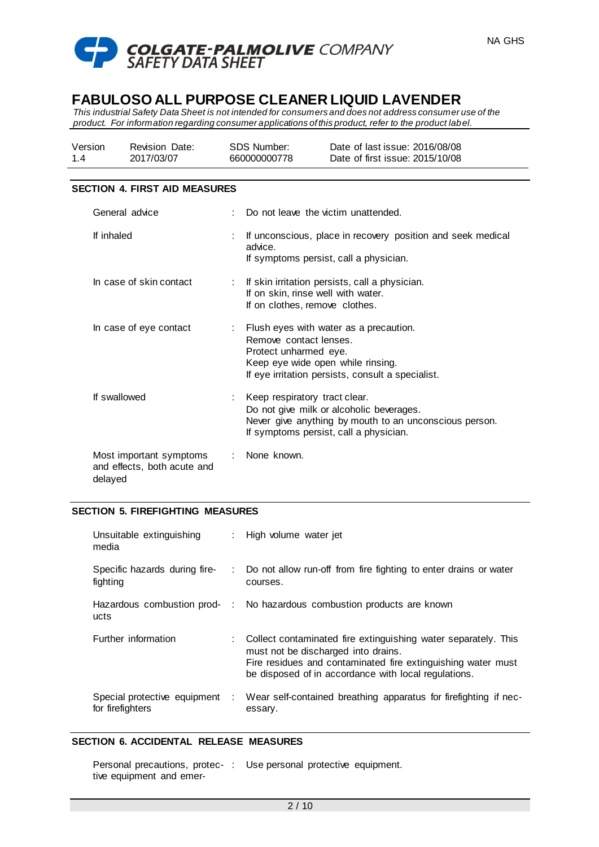



*This industrial Safety Data Sheet is not intended for consumers and does not address consumer use of the product. For information regarding consumer applications of this product, refer to the product label.*

| Version | <b>Revision Date:</b> | SDS Number:  | Date of last issue: 2016/08/08  |
|---------|-----------------------|--------------|---------------------------------|
| 1.4     | 2017/03/07            | 660000000778 | Date of first issue: 2015/10/08 |

### **SECTION 4. FIRST AID MEASURES**

| General advice                                                    | Do not leave the victim unattended.                                                                                                                                                 |
|-------------------------------------------------------------------|-------------------------------------------------------------------------------------------------------------------------------------------------------------------------------------|
| If inhaled                                                        | If unconscious, place in recovery position and seek medical<br>advice.<br>If symptoms persist, call a physician.                                                                    |
| In case of skin contact                                           | $:$ If skin irritation persists, call a physician.<br>If on skin, rinse well with water.<br>If on clothes, remove clothes.                                                          |
| In case of eye contact                                            | Flush eyes with water as a precaution.<br>Remove contact lenses.<br>Protect unharmed eye.<br>Keep eye wide open while rinsing.<br>If eye irritation persists, consult a specialist. |
| If swallowed                                                      | Keep respiratory tract clear.<br>Do not give milk or alcoholic beverages.<br>Never give anything by mouth to an unconscious person.<br>If symptoms persist, call a physician.       |
| Most important symptoms<br>and effects, both acute and<br>delayed | : None known.                                                                                                                                                                       |

# **SECTION 5. FIREFIGHTING MEASURES**

| Unsuitable extinguishing<br>media                |   | : High volume water jet                                                                                                                                                                                                         |
|--------------------------------------------------|---|---------------------------------------------------------------------------------------------------------------------------------------------------------------------------------------------------------------------------------|
| Specific hazards during fire-<br>fighting        |   | : Do not allow run-off from fire fighting to enter drains or water<br>courses.                                                                                                                                                  |
| ucts                                             |   | Hazardous combustion prod- : No hazardous combustion products are known                                                                                                                                                         |
| Further information                              |   | : Collect contaminated fire extinguishing water separately. This<br>must not be discharged into drains.<br>Fire residues and contaminated fire extinguishing water must<br>be disposed of in accordance with local regulations. |
| Special protective equipment<br>for firefighters | ÷ | Wear self-contained breathing apparatus for firefighting if nec-<br>essary.                                                                                                                                                     |

#### **SECTION 6. ACCIDENTAL RELEASE MEASURES**

|                          | Personal precautions, protec-: Use personal protective equipment. |
|--------------------------|-------------------------------------------------------------------|
| tive equipment and emer- |                                                                   |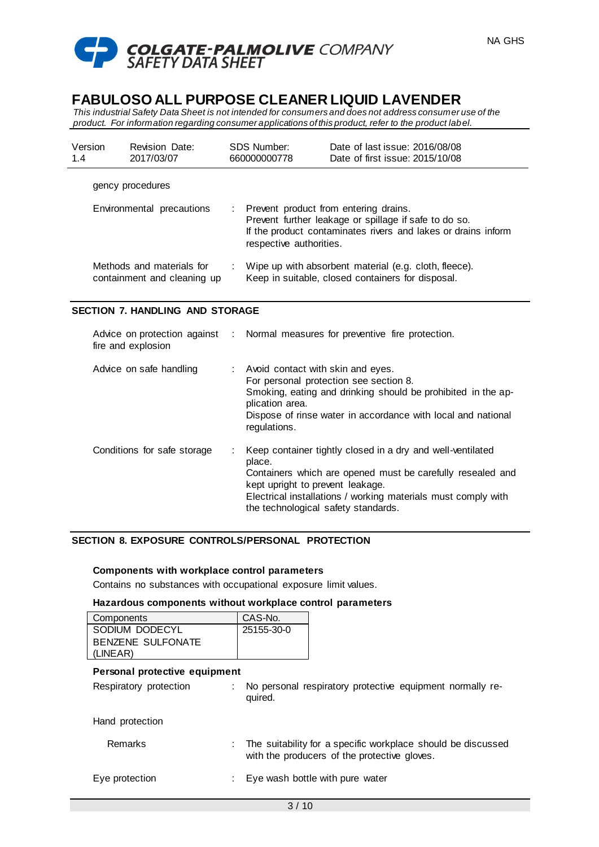

*This industrial Safety Data Sheet is not intended for consumers and does not address consumer use of the product. For information regarding consumer applications of this product, refer to the product label.*

| Version<br>1.4            | <b>Revision Date:</b><br>2017/03/07                      |    | SDS Number:<br>660000000778 | Date of last issue: 2016/08/08<br>Date of first issue: 2015/10/08                                                                                               |
|---------------------------|----------------------------------------------------------|----|-----------------------------|-----------------------------------------------------------------------------------------------------------------------------------------------------------------|
|                           | gency procedures                                         |    |                             |                                                                                                                                                                 |
| Environmental precautions |                                                          | ÷. | respective authorities.     | Prevent product from entering drains.<br>Prevent further leakage or spillage if safe to do so.<br>If the product contaminates rivers and lakes or drains inform |
|                           | Methods and materials for<br>containment and cleaning up |    |                             | Wipe up with absorbent material (e.g. cloth, fleece).<br>Keep in suitable, closed containers for disposal.                                                      |

# **SECTION 7. HANDLING AND STORAGE**

| fire and explosion          | Advice on protection against : Normal measures for preventive fire protection.                                                                                                                                                                                                 |
|-----------------------------|--------------------------------------------------------------------------------------------------------------------------------------------------------------------------------------------------------------------------------------------------------------------------------|
| Advice on safe handling     | : Avoid contact with skin and eyes.<br>For personal protection see section 8.<br>Smoking, eating and drinking should be prohibited in the ap-<br>plication area.<br>Dispose of rinse water in accordance with local and national<br>regulations.                               |
| Conditions for safe storage | Keep container tightly closed in a dry and well-ventilated<br>place.<br>Containers which are opened must be carefully resealed and<br>kept upright to prevent leakage.<br>Electrical installations / working materials must comply with<br>the technological safety standards. |

# **SECTION 8. EXPOSURE CONTROLS/PERSONAL PROTECTION**

#### **Components with workplace control parameters**

Contains no substances with occupational exposure limit values.

#### **Hazardous components without workplace control parameters**

| Components               | CAS-No.    |
|--------------------------|------------|
| SODIUM DODECYL           | 25155-30-0 |
| <b>BENZENE SULFONATE</b> |            |
| (LINEAR)                 |            |

# **Personal protective equipment**

Respiratory protection : No personal respiratory protective equipment normally required.

Hand protection

| Remarks | The suitability for a specific workplace should be discussed |
|---------|--------------------------------------------------------------|
|         | with the producers of the protective gloves.                 |

Eye protection : Eye wash bottle with pure water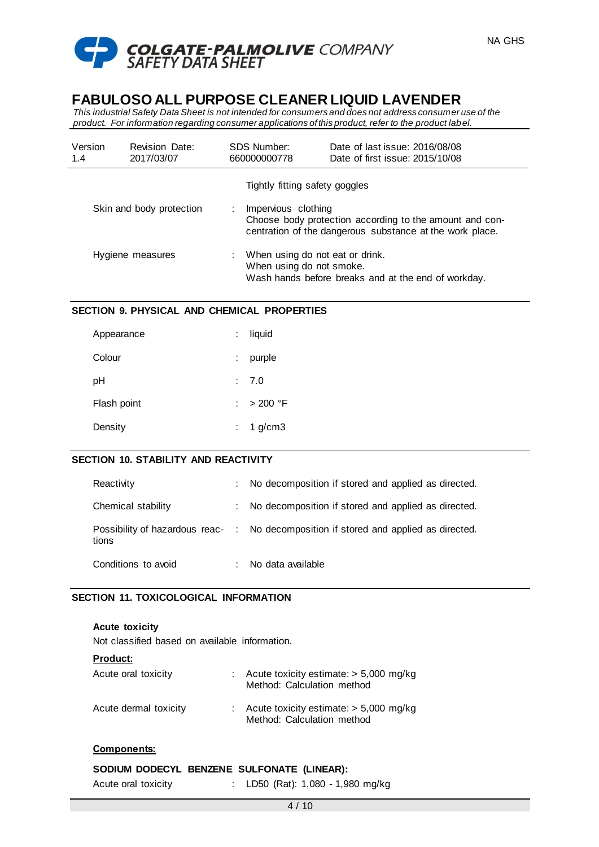

*This industrial Safety Data Sheet is not intended for consumers and does not address consumer use of the product. For information regarding consumer applications of this product, refer to the product label.*

| Version<br>1.4           | <b>Revision Date:</b><br>2017/03/07 | SDS Number:<br>660000000778                                                                                        | Date of last issue: 2016/08/08<br>Date of first issue: 2015/10/08                                                   |
|--------------------------|-------------------------------------|--------------------------------------------------------------------------------------------------------------------|---------------------------------------------------------------------------------------------------------------------|
|                          |                                     | Tightly fitting safety goggles                                                                                     |                                                                                                                     |
| Skin and body protection |                                     | Impervious clothing                                                                                                | Choose body protection according to the amount and con-<br>centration of the dangerous substance at the work place. |
| Hygiene measures         |                                     | When using do not eat or drink.<br>When using do not smoke.<br>Wash hands before breaks and at the end of workday. |                                                                                                                     |

## **SECTION 9. PHYSICAL AND CHEMICAL PROPERTIES**

| Appearance  | liquid      |
|-------------|-------------|
| Colour      | purple      |
| pH          | : 7.0       |
| Flash point | : $>200$ °F |
| Density     | 1 $g/cm3$   |

#### **SECTION 10. STABILITY AND REACTIVITY**

| Reactivity          | No decomposition if stored and applied as directed.                                  |
|---------------------|--------------------------------------------------------------------------------------|
| Chemical stability  | No decomposition if stored and applied as directed.                                  |
| tions               | Possibility of hazardous reac- : No decomposition if stored and applied as directed. |
| Conditions to avoid | No data available                                                                    |

#### **SECTION 11. TOXICOLOGICAL INFORMATION**

#### **Acute toxicity**

Not classified based on available information.

| <b>Product:</b>       |                                                                        |
|-----------------------|------------------------------------------------------------------------|
| Acute oral toxicity   | Acute toxicity estimate: $> 5,000$ mg/kg<br>Method: Calculation method |
| Acute dermal toxicity | Acute toxicity estimate: $> 5,000$ mg/kg<br>Method: Calculation method |

# **Components:**

|                     | SODIUM DODECYL BENZENE SULFONATE (LINEAR): |
|---------------------|--------------------------------------------|
| Acute oral toxicity | : LD50 (Rat): 1,080 - 1,980 mg/kg          |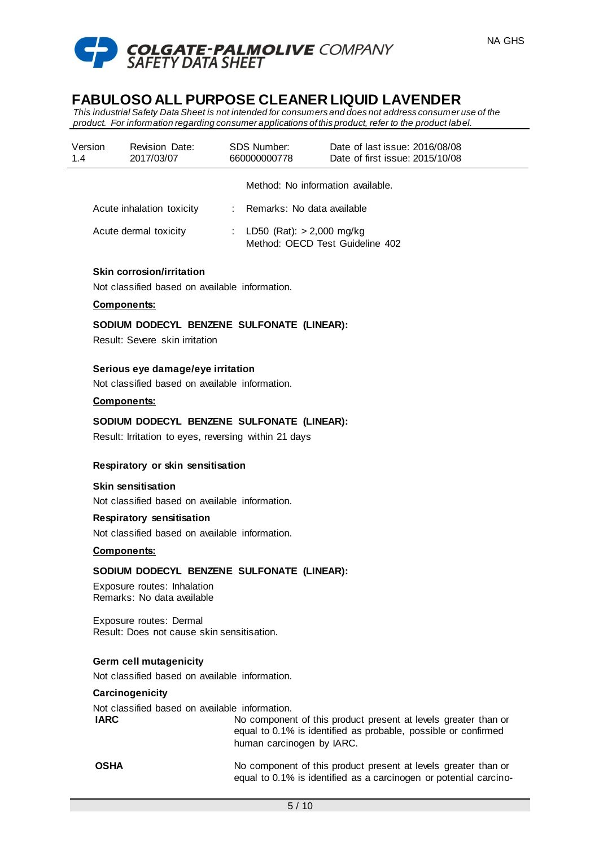

*This industrial Safety Data Sheet is not intended for consumers and does not address consumer use of the product. For information regarding consumer applications of this product, refer to the product label.*

| Version<br>1.4 | <b>Revision Date:</b><br>2017/03/07 | <b>SDS Number:</b><br>660000000778 | Date of last issue: 2016/08/08<br>Date of first issue: 2015/10/08 |
|----------------|-------------------------------------|------------------------------------|-------------------------------------------------------------------|
|                |                                     |                                    | Method: No information available.                                 |
|                | Acute inhalation toxicity           | : Remarks: No data available       |                                                                   |
|                | Acute dermal toxicity               | : LD50 (Rat): $> 2,000$ mg/kg      | Method: OECD Test Guideline 402                                   |

# **Skin corrosion/irritation**

Not classified based on available information.

#### **Components:**

## **SODIUM DODECYL BENZENE SULFONATE (LINEAR):**

Result: Severe skin irritation

### **Serious eye damage/eye irritation**

Not classified based on available information.

# **Components:**

#### **SODIUM DODECYL BENZENE SULFONATE (LINEAR):**

Result: Irritation to eyes, reversing within 21 days

#### **Respiratory or skin sensitisation**

#### **Skin sensitisation**

Not classified based on available information.

#### **Respiratory sensitisation**

Not classified based on available information.

### **Components:**

#### **SODIUM DODECYL BENZENE SULFONATE (LINEAR):**

Exposure routes: Inhalation Remarks: No data available

Exposure routes: Dermal Result: Does not cause skin sensitisation.

### **Germ cell mutagenicity**

Not classified based on available information.

#### **Carcinogenicity**

Not classified based on available information. **IARC** No component of this product present at levels greater than or equal to 0.1% is identified as probable, possible or confirmed human carcinogen by IARC.

**OSHA** No component of this product present at levels greater than or equal to 0.1% is identified as a carcinogen or potential carcino-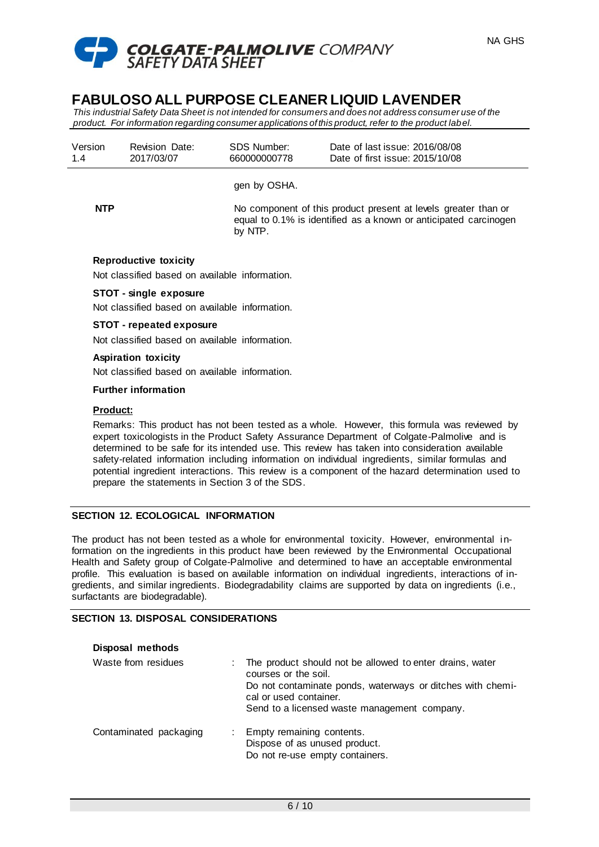

*This industrial Safety Data Sheet is not intended for consumers and does not address consumer use of the product. For information regarding consumer applications of this product, refer to the product label.*

| Version<br>1.4 | <b>Revision Date:</b><br>2017/03/07 | SDS Number:<br>660000000778 | Date of last issue: 2016/08/08<br>Date of first issue: 2015/10/08                                                                  |
|----------------|-------------------------------------|-----------------------------|------------------------------------------------------------------------------------------------------------------------------------|
|                |                                     | gen by OSHA.                |                                                                                                                                    |
| <b>NTP</b>     |                                     | by NTP.                     | No component of this product present at levels greater than or<br>equal to 0.1% is identified as a known or anticipated carcinogen |
|                | Reproductive toxicity               |                             |                                                                                                                                    |

Not classified based on available information.

#### **STOT - single exposure**

Not classified based on available information.

#### **STOT - repeated exposure**

Not classified based on available information.

# **Aspiration toxicity**

Not classified based on available information.

#### **Further information**

### **Product:**

Remarks: This product has not been tested as a whole. However, this formula was reviewed by expert toxicologists in the Product Safety Assurance Department of Colgate-Palmolive and is determined to be safe for its intended use. This review has taken into consideration available safety-related information including information on individual ingredients, similar formulas and potential ingredient interactions. This review is a component of the hazard determination used to prepare the statements in Section 3 of the SDS.

#### **SECTION 12. ECOLOGICAL INFORMATION**

The product has not been tested as a whole for environmental toxicity. However, environmental information on the ingredients in this product have been reviewed by the Environmental Occupational Health and Safety group of Colgate-Palmolive and determined to have an acceptable environmental profile. This evaluation is based on available information on individual ingredients, interactions of ingredients, and similar ingredients. Biodegradability claims are supported by data on ingredients (i.e., surfactants are biodegradable).

#### **SECTION 13. DISPOSAL CONSIDERATIONS**

| Disposal methods       |                                                                                                                                                                                                                          |
|------------------------|--------------------------------------------------------------------------------------------------------------------------------------------------------------------------------------------------------------------------|
| Waste from residues    | The product should not be allowed to enter drains, water<br>courses or the soil.<br>Do not contaminate ponds, waterways or ditches with chemi-<br>cal or used container.<br>Send to a licensed waste management company. |
| Contaminated packaging | Empty remaining contents.<br>Dispose of as unused product.<br>Do not re-use empty containers.                                                                                                                            |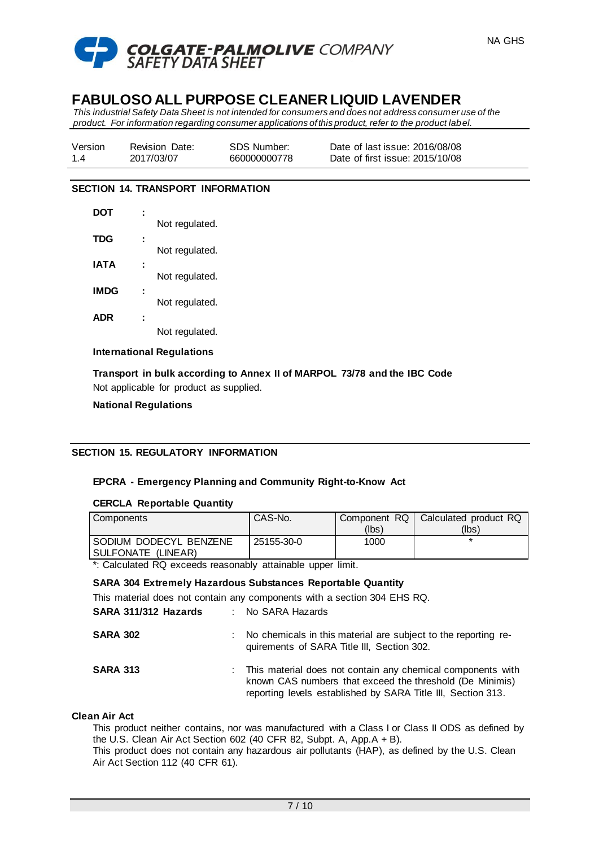

*This industrial Safety Data Sheet is not intended for consumers and does not address consumer use of the product. For information regarding consumer applications of this product, refer to the product label.*

| Version | <b>Revision Date:</b> | SDS Number:  | Date of last issue: 2016/08/08  |
|---------|-----------------------|--------------|---------------------------------|
| 14      | 2017/03/07            | 660000000778 | Date of first issue: 2015/10/08 |

### **SECTION 14. TRANSPORT INFORMATION**

| DOT         |                |
|-------------|----------------|
|             | Not regulated. |
| <b>TDG</b>  |                |
|             | Not regulated. |
| IATA        |                |
|             | Not regulated. |
| <b>IMDG</b> |                |
|             | Not regulated. |
| <b>ADR</b>  |                |
|             | Not regulated. |

#### **International Regulations**

**Transport in bulk according to Annex II of MARPOL 73/78 and the IBC Code** Not applicable for product as supplied.

### **National Regulations**

# **SECTION 15. REGULATORY INFORMATION**

# **EPCRA - Emergency Planning and Community Right-to-Know Act**

# **CERCLA Reportable Quantity**

| Components               | CAS-No.    |       | Component RQ   Calculated product RQ |
|--------------------------|------------|-------|--------------------------------------|
|                          |            | (lbs) | (lbs)                                |
| I SODIUM DODECYL BENZENE | 25155-30-0 | 1000  |                                      |
| ISULFONATE (LINEAR)      |            |       |                                      |

\*: Calculated RQ exceeds reasonably attainable upper limit.

#### **SARA 304 Extremely Hazardous Substances Reportable Quantity**

| This material does not contain any components with a section 304 EHS RQ. |                 |  |  |  |
|--------------------------------------------------------------------------|-----------------|--|--|--|
| SARA 311/312 Hazards                                                     | No SARA Hazards |  |  |  |

| <b>SARA 302</b> | : No chemicals in this material are subject to the reporting re- |
|-----------------|------------------------------------------------------------------|
|                 | quirements of SARA Title III, Section 302.                       |

| <b>SARA 313</b> | This material does not contain any chemical components with  |
|-----------------|--------------------------------------------------------------|
|                 | known CAS numbers that exceed the threshold (De Minimis)     |
|                 | reporting levels established by SARA Title III, Section 313. |

#### **Clean Air Act**

This product neither contains, nor was manufactured with a Class I or Class II ODS as defined by the U.S. Clean Air Act Section 602 (40 CFR 82, Subpt. A, App.A + B).

This product does not contain any hazardous air pollutants (HAP), as defined by the U.S. Clean Air Act Section 112 (40 CFR 61).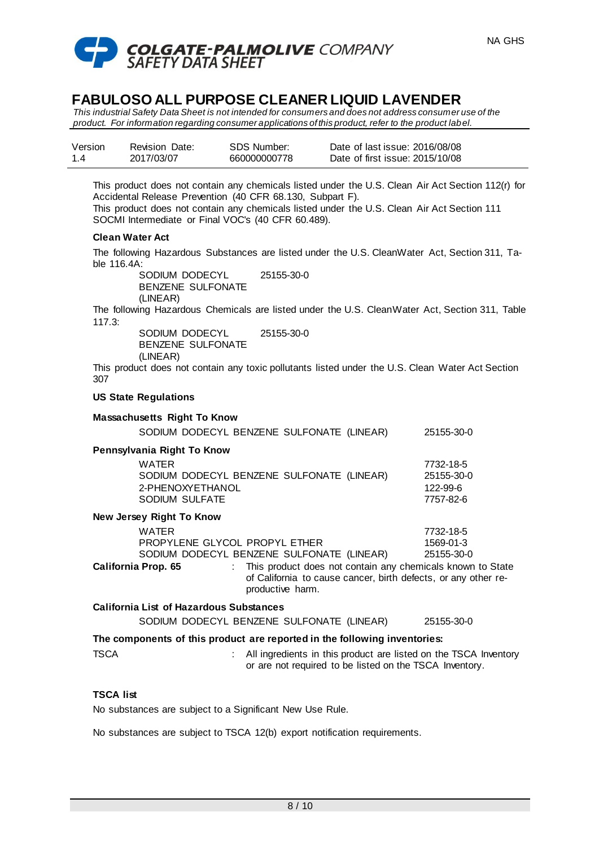

*This industrial Safety Data Sheet is not intended for consumers and does not address consumer use of the product. For information regarding consumer applications of this product, refer to the product label.*

| Version | <b>Revision Date:</b> | SDS Number:  | Date of last issue: 2016/08/08  |
|---------|-----------------------|--------------|---------------------------------|
| 14      | 2017/03/07            | 660000000778 | Date of first issue: 2015/10/08 |

This product does not contain any chemicals listed under the U.S. Clean Air Act Section 112(r) for Accidental Release Prevention (40 CFR 68.130, Subpart F).

This product does not contain any chemicals listed under the U.S. Clean Air Act Section 111 SOCMI Intermediate or Final VOC's (40 CFR 60.489).

### **Clean Water Act**

The following Hazardous Substances are listed under the U.S. CleanWater Act, Section 311, Table 116.4A:

> SODIUM DODECYL BENZENE SULFONATE (LINEAR) 25155-30-0

The following Hazardous Chemicals are listed under the U.S. CleanWater Act, Section 311, Table 117.3:

SODIUM DODECYL BENZENE SULFONATE (LINEAR) 25155-30-0

This product does not contain any toxic pollutants listed under the U.S. Clean Water Act Section 307

#### **US State Regulations**

|                                                                           | <b>Massachusetts Right To Know</b>                                                                         |                                                                                                                                                    |  |                                                  |  |  |  |
|---------------------------------------------------------------------------|------------------------------------------------------------------------------------------------------------|----------------------------------------------------------------------------------------------------------------------------------------------------|--|--------------------------------------------------|--|--|--|
|                                                                           | SODIUM DODECYL BENZENE SULFONATE (LINEAR)                                                                  |                                                                                                                                                    |  | 25155-30-0                                       |  |  |  |
| Pennsylvania Right To Know                                                |                                                                                                            |                                                                                                                                                    |  |                                                  |  |  |  |
|                                                                           | WATER<br>SODIUM DODECYL BENZENE SULFONATE (LINEAR)<br>2-PHENOXYETHANOL<br>SODIUM SULFATE                   |                                                                                                                                                    |  | 7732-18-5<br>25155-30-0<br>122-99-6<br>7757-82-6 |  |  |  |
| New Jersey Right To Know                                                  |                                                                                                            |                                                                                                                                                    |  |                                                  |  |  |  |
|                                                                           | WATER<br>PROPYLENE GLYCOL PROPYL ETHER<br>SODIUM DODECYL BENZENE SULFONATE (LINEAR)<br>California Prop. 65 | : This product does not contain any chemicals known to State<br>of California to cause cancer, birth defects, or any other re-<br>productive harm. |  | 7732-18-5<br>1569-01-3<br>25155-30-0             |  |  |  |
| <b>California List of Hazardous Substances</b>                            |                                                                                                            |                                                                                                                                                    |  |                                                  |  |  |  |
|                                                                           | SODIUM DODECYL BENZENE SULFONATE (LINEAR)                                                                  |                                                                                                                                                    |  | 25155-30-0                                       |  |  |  |
| The components of this product are reported in the following inventories: |                                                                                                            |                                                                                                                                                    |  |                                                  |  |  |  |
| <b>TSCA</b>                                                               |                                                                                                            | All ingredients in this product are listed on the TSCA Inventory<br>or are not required to be listed on the TSCA Inventory.                        |  |                                                  |  |  |  |

#### **TSCA list**

No substances are subject to a Significant New Use Rule.

No substances are subject to TSCA 12(b) export notification requirements.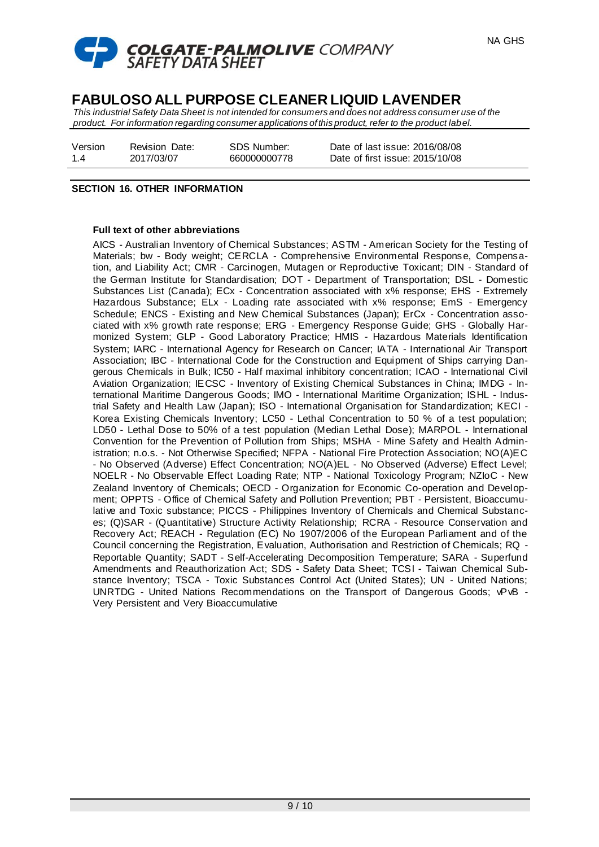

*This industrial Safety Data Sheet is not intended for consumers and does not address consumer use of the product. For information regarding consumer applications of this product, refer to the product label.*

Version 1.4 Revision Date: 2017/03/07

SDS Number: 660000000778

Date of last issue: 2016/08/08 Date of first issue: 2015/10/08

### **SECTION 16. OTHER INFORMATION**

### **Full text of other abbreviations**

AICS - Australian Inventory of Chemical Substances; ASTM - American Society for the Testing of Materials; bw - Body weight; CERCLA - Comprehensive Environmental Response, Compensation, and Liability Act; CMR - Carcinogen, Mutagen or Reproductive Toxicant; DIN - Standard of the German Institute for Standardisation; DOT - Department of Transportation; DSL - Domestic Substances List (Canada); ECx - Concentration associated with x% response; EHS - Extremely Hazardous Substance; ELx - Loading rate associated with x% response; EmS - Emergency Schedule; ENCS - Existing and New Chemical Substances (Japan); ErCx - Concentration associated with x% growth rate response; ERG - Emergency Response Guide; GHS - Globally Harmonized System; GLP - Good Laboratory Practice; HMIS - Hazardous Materials Identification System; IARC - International Agency for Research on Cancer; IATA - International Air Transport Association; IBC - International Code for the Construction and Equipment of Ships carrying Dangerous Chemicals in Bulk; IC50 - Half maximal inhibitory concentration; ICAO - International Civil Aviation Organization; IECSC - Inventory of Existing Chemical Substances in China; IMDG - International Maritime Dangerous Goods; IMO - International Maritime Organization; ISHL - Industrial Safety and Health Law (Japan); ISO - International Organisation for Standardization; KECI - Korea Existing Chemicals Inventory; LC50 - Lethal Concentration to 50 % of a test population; LD50 - Lethal Dose to 50% of a test population (Median Lethal Dose); MARPOL - International Convention for the Prevention of Pollution from Ships; MSHA - Mine Safety and Health Administration; n.o.s. - Not Otherwise Specified; NFPA - National Fire Protection Association; NO(A)EC - No Observed (Adverse) Effect Concentration; NO(A)EL - No Observed (Adverse) Effect Level; NOELR - No Observable Effect Loading Rate; NTP - National Toxicology Program; NZIoC - New Zealand Inventory of Chemicals; OECD - Organization for Economic Co-operation and Development; OPPTS - Office of Chemical Safety and Pollution Prevention; PBT - Persistent, Bioaccumulative and Toxic substance; PICCS - Philippines Inventory of Chemicals and Chemical Substances; (Q)SAR - (Quantitative) Structure Activity Relationship; RCRA - Resource Conservation and Recovery Act; REACH - Regulation (EC) No 1907/2006 of the European Parliament and of the Council concerning the Registration, Evaluation, Authorisation and Restriction of Chemicals; RQ - Reportable Quantity; SADT - Self-Accelerating Decomposition Temperature; SARA - Superfund Amendments and Reauthorization Act; SDS - Safety Data Sheet; TCSI - Taiwan Chemical Substance Inventory; TSCA - Toxic Substances Control Act (United States); UN - United Nations; UNRTDG - United Nations Recommendations on the Transport of Dangerous Goods; vPvB - Very Persistent and Very Bioaccumulative